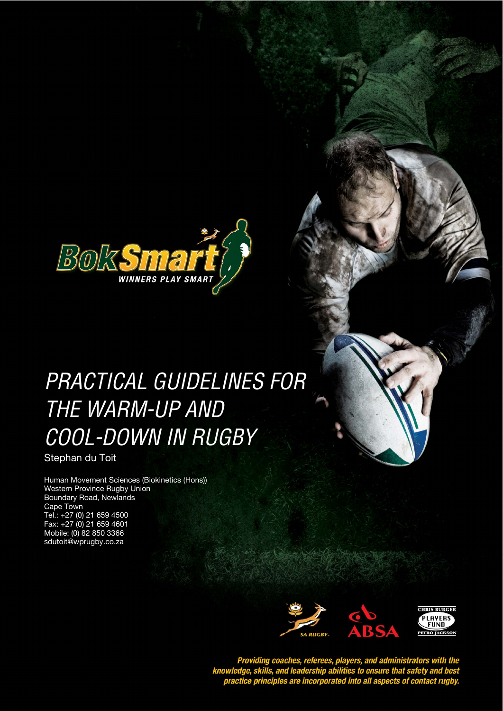

# PRACTICAL GUIDELINES FOR *STYLE HEADING FOR TABLES*  THE WARM-UP AND COOL-DOWN IN RUGBY

Stephan du Toit

Human Movement Sciences (Biokinetics (Hons)) Western Province Rugby Union Boundary Road, Newlands Cape Town Tel.: +27 (0) 21 659 4500 Fax: +27 (0) 21 659 4601 Mobile: (0) 82 850 3366 sdutoit@wprugby.co.za



Providing coaches, referees, players, and administrators with the<br>knowledge, skills, and leadership abilities to ensure that safety and best<br>practice principles are incorporated into all aspects of contact rugby.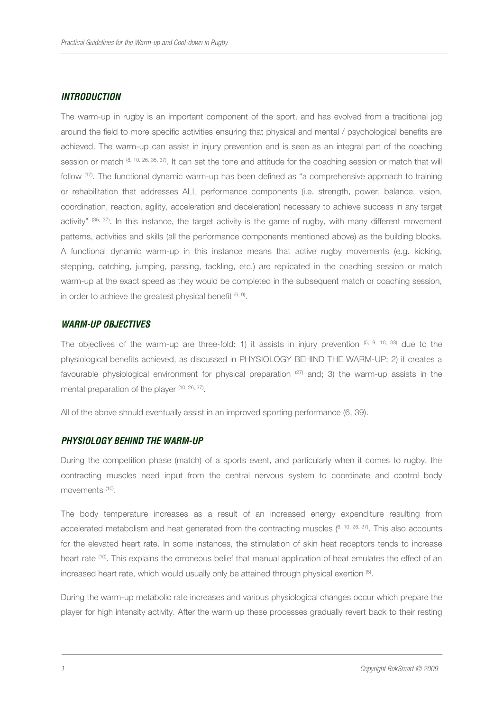#### *INTRODUCTION*

The warm-up in rugby is an important component of the sport, and has evolved from a traditional jog around the field to more specific activities ensuring that physical and mental / psychological benefits are achieved. The warm-up can assist in injury prevention and is seen as an integral part of the coaching session or match (8, 10, 26, 35, 37). It can set the tone and attitude for the coaching session or match that will follow (17). The functional dynamic warm-up has been defined as "a comprehensive approach to training or rehabilitation that addresses ALL performance components (i.e. strength, power, balance, vision, coordination, reaction, agility, acceleration and deceleration) necessary to achieve success in any target activity"  $(35, 37)$ . In this instance, the target activity is the game of rugby, with many different movement patterns, activities and skills (all the performance components mentioned above) as the building blocks. A functional dynamic warm-up in this instance means that active rugby movements (e.g. kicking, stepping, catching, jumping, passing, tackling, etc.) are replicated in the coaching session or match warm-up at the exact speed as they would be completed in the subsequent match or coaching session, in order to achieve the greatest physical benefit  $(6, 9)$ .

#### *WARM-UP OBJECTIVES*

The objectives of the warm-up are three-fold: 1) it assists in injury prevention  $(5, 9, 10, 33)$  due to the physiological benefits achieved, as discussed in PHYSIOLOGY BEHIND THE WARM-UP; 2) it creates a favourable physiological environment for physical preparation  $(27)$  and; 3) the warm-up assists in the mental preparation of the player <sup>(10, 26, 37)</sup>.

All of the above should eventually assist in an improved sporting performance (6, 39).

## *PHYSIOLOGY BEHIND THE WARM-UP*

During the competition phase (match) of a sports event, and particularly when it comes to rugby, the contracting muscles need input from the central nervous system to coordinate and control body movements (10).

The body temperature increases as a result of an increased energy expenditure resulting from accelerated metabolism and heat generated from the contracting muscles  $(6, 10, 26, 37)$ . This also accounts for the elevated heart rate. In some instances, the stimulation of skin heat receptors tends to increase heart rate (10). This explains the erroneous belief that manual application of heat emulates the effect of an increased heart rate, which would usually only be attained through physical exertion  $\mathbf{^{(5)}}$ .

During the warm-up metabolic rate increases and various physiological changes occur which prepare the player for high intensity activity. After the warm up these processes gradually revert back to their resting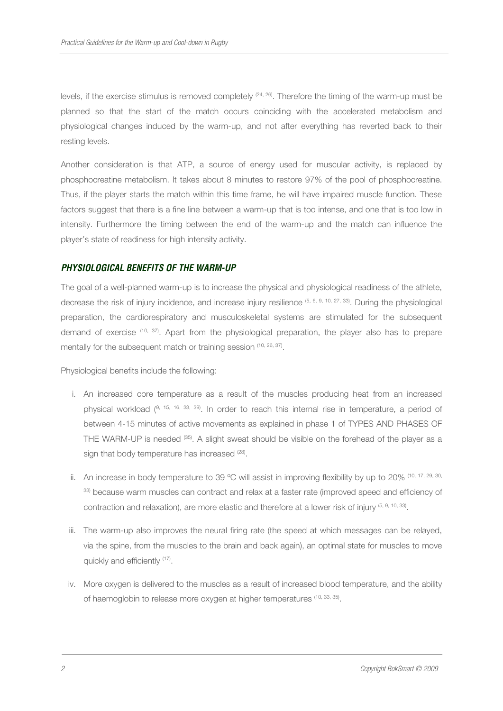levels, if the exercise stimulus is removed completely (24, 26). Therefore the timing of the warm-up must be planned so that the start of the match occurs coinciding with the accelerated metabolism and physiological changes induced by the warm-up, and not after everything has reverted back to their resting levels.

Another consideration is that ATP, a source of energy used for muscular activity, is replaced by phosphocreatine metabolism. It takes about 8 minutes to restore 97% of the pool of phosphocreatine. Thus, if the player starts the match within this time frame, he will have impaired muscle function. These factors suggest that there is a fine line between a warm-up that is too intense, and one that is too low in intensity. Furthermore the timing between the end of the warm-up and the match can influence the player's state of readiness for high intensity activity.

# *PHYSIOLOGICAL BENEFITS OF THE WARM-UP*

The goal of a well-planned warm-up is to increase the physical and physiological readiness of the athlete, decrease the risk of injury incidence, and increase injury resilience (5, 6, 9, 10, 27, 33). During the physiological preparation, the cardiorespiratory and musculoskeletal systems are stimulated for the subsequent demand of exercise (10, 37). Apart from the physiological preparation, the player also has to prepare mentally for the subsequent match or training session (10, 26, 37).

Physiological benefits include the following:

- i. An increased core temperature as a result of the muscles producing heat from an increased physical workload (9, 15, 16, 33, 39). In order to reach this internal rise in temperature, a period of between 4-15 minutes of active movements as explained in phase 1 of TYPES AND PHASES OF THE WARM-UP is needed (35). A slight sweat should be visible on the forehead of the player as a sign that body temperature has increased <sup>(28)</sup>.
- ii. An increase in body temperature to 39 °C will assist in improving flexibility by up to 20% (10, 17, 29, 30, 33) because warm muscles can contract and relax at a faster rate (improved speed and efficiency of contraction and relaxation), are more elastic and therefore at a lower risk of injury (5, 9, 10, 33).
- iii. The warm-up also improves the neural firing rate (the speed at which messages can be relayed, via the spine, from the muscles to the brain and back again), an optimal state for muscles to move quickly and efficiently <sup>(17)</sup>.
- iv. More oxygen is delivered to the muscles as a result of increased blood temperature, and the ability of haemoglobin to release more oxygen at higher temperatures (10, 33, 35).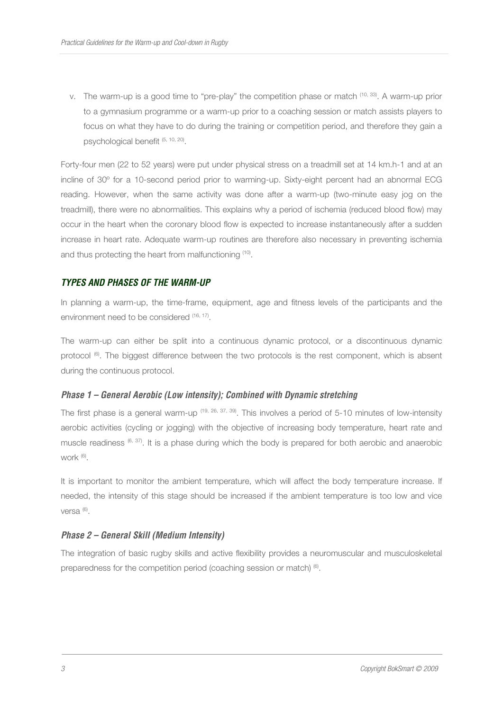v. The warm-up is a good time to "pre-play" the competition phase or match (10, 33). A warm-up prior to a gymnasium programme or a warm-up prior to a coaching session or match assists players to focus on what they have to do during the training or competition period, and therefore they gain a psychological benefit<sup> (5, 10, 20)</sup>.

Forty-four men (22 to 52 years) were put under physical stress on a treadmill set at 14 km.h-1 and at an incline of 30º for a 10-second period prior to warming-up. Sixty-eight percent had an abnormal ECG reading. However, when the same activity was done after a warm-up (two-minute easy jog on the treadmill), there were no abnormalities. This explains why a period of ischemia (reduced blood flow) may occur in the heart when the coronary blood flow is expected to increase instantaneously after a sudden increase in heart rate. Adequate warm-up routines are therefore also necessary in preventing ischemia and thus protecting the heart from malfunctioning (10).

# *TYPES AND PHASES OF THE WARM-UP*

In planning a warm-up, the time-frame, equipment, age and fitness levels of the participants and the environment need to be considered (16, 17).

The warm-up can either be split into a continuous dynamic protocol, or a discontinuous dynamic protocol (6). The biggest difference between the two protocols is the rest component, which is absent during the continuous protocol.

## *Phase 1 – General Aerobic (Low intensity); Combined with Dynamic stretching*

The first phase is a general warm-up (19, 26, 37, 39). This involves a period of 5-10 minutes of low-intensity aerobic activities (cycling or jogging) with the objective of increasing body temperature, heart rate and muscle readiness  $(6, 37)$ . It is a phase during which the body is prepared for both aerobic and anaerobic work (6) .

It is important to monitor the ambient temperature, which will affect the body temperature increase. If needed, the intensity of this stage should be increased if the ambient temperature is too low and vice versa <sup>(6)</sup>.

## *Phase 2 – General Skill (Medium Intensity)*

The integration of basic rugby skills and active flexibility provides a neuromuscular and musculoskeletal preparedness for the competition period (coaching session or match) (6).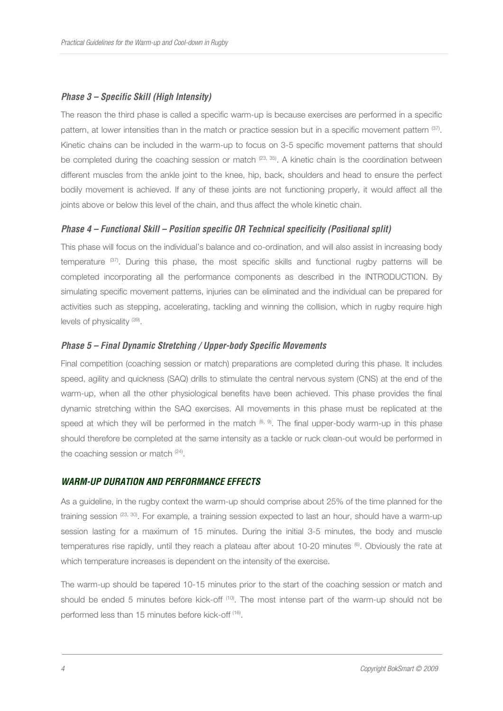# *Phase 3 – Specific Skill (High Intensity)*

The reason the third phase is called a specific warm-up is because exercises are performed in a specific pattern, at lower intensities than in the match or practice session but in a specific movement pattern (37). Kinetic chains can be included in the warm-up to focus on 3-5 specific movement patterns that should be completed during the coaching session or match  $(23, 35)$ . A kinetic chain is the coordination between different muscles from the ankle joint to the knee, hip, back, shoulders and head to ensure the perfect bodily movement is achieved. If any of these joints are not functioning properly, it would affect all the joints above or below this level of the chain, and thus affect the whole kinetic chain.

#### *Phase 4 – Functional Skill – Position specific OR Technical specificity (Positional split)*

This phase will focus on the individual's balance and co-ordination, and will also assist in increasing body temperature (37). During this phase, the most specific skills and functional rugby patterns will be completed incorporating all the performance components as described in the INTRODUCTION. By simulating specific movement patterns, injuries can be eliminated and the individual can be prepared for activities such as stepping, accelerating, tackling and winning the collision, which in rugby require high levels of physicality<sup>(39)</sup>.

## *Phase 5 – Final Dynamic Stretching / Upper-body Specific Movements*

Final competition (coaching session or match) preparations are completed during this phase. It includes speed, agility and quickness (SAQ) drills to stimulate the central nervous system (CNS) at the end of the warm-up, when all the other physiological benefits have been achieved. This phase provides the final dynamic stretching within the SAQ exercises. All movements in this phase must be replicated at the speed at which they will be performed in the match  $^{(6, 9)}$ . The final upper-body warm-up in this phase should therefore be completed at the same intensity as a tackle or ruck clean-out would be performed in the coaching session or match <sup>(24)</sup>.

#### *WARM-UP DURATION AND PERFORMANCE EFFECTS*

As a guideline, in the rugby context the warm-up should comprise about 25% of the time planned for the training session (23, 30). For example, a training session expected to last an hour, should have a warm-up session lasting for a maximum of 15 minutes. During the initial 3-5 minutes, the body and muscle temperatures rise rapidly, until they reach a plateau after about 10-20 minutes (6). Obviously the rate at which temperature increases is dependent on the intensity of the exercise.

The warm-up should be tapered 10-15 minutes prior to the start of the coaching session or match and should be ended 5 minutes before kick-off <sup>(10)</sup>. The most intense part of the warm-up should not be performed less than 15 minutes before kick-off <sup>(16)</sup>.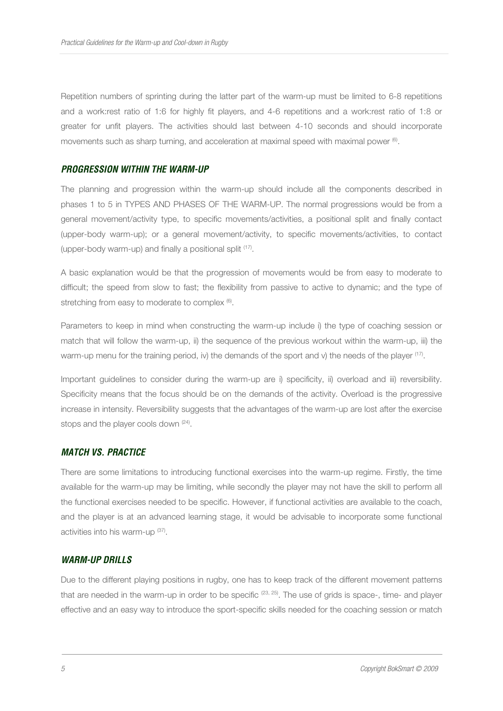Repetition numbers of sprinting during the latter part of the warm-up must be limited to 6-8 repetitions and a work:rest ratio of 1:6 for highly fit players, and 4-6 repetitions and a work:rest ratio of 1:8 or greater for unfit players. The activities should last between 4-10 seconds and should incorporate movements such as sharp turning, and acceleration at maximal speed with maximal power  $\mathbf{^{(6)}}$ .

#### *PROGRESSION WITHIN THE WARM-UP*

The planning and progression within the warm-up should include all the components described in phases 1 to 5 in TYPES AND PHASES OF THE WARM-UP. The normal progressions would be from a general movement/activity type, to specific movements/activities, a positional split and finally contact (upper-body warm-up); or a general movement/activity, to specific movements/activities, to contact (upper-body warm-up) and finally a positional split (17) .

A basic explanation would be that the progression of movements would be from easy to moderate to difficult; the speed from slow to fast; the flexibility from passive to active to dynamic; and the type of stretching from easy to moderate to complex  $(6)$ .

Parameters to keep in mind when constructing the warm-up include i) the type of coaching session or match that will follow the warm-up, ii) the sequence of the previous workout within the warm-up, iii) the warm-up menu for the training period, iv) the demands of the sport and v) the needs of the player  $(17)$ .

Important guidelines to consider during the warm-up are i) specificity, ii) overload and iii) reversibility. Specificity means that the focus should be on the demands of the activity. Overload is the progressive increase in intensity. Reversibility suggests that the advantages of the warm-up are lost after the exercise stops and the player cools down <sup>(24)</sup>.

#### *MATCH VS. PRACTICE*

There are some limitations to introducing functional exercises into the warm-up regime. Firstly, the time available for the warm-up may be limiting, while secondly the player may not have the skill to perform all the functional exercises needed to be specific. However, if functional activities are available to the coach, and the player is at an advanced learning stage, it would be advisable to incorporate some functional activities into his warm-up (37).

# *WARM-UP DRILLS*

Due to the different playing positions in rugby, one has to keep track of the different movement patterns that are needed in the warm-up in order to be specific  $(23, 25)$ . The use of grids is space-, time- and player effective and an easy way to introduce the sport-specific skills needed for the coaching session or match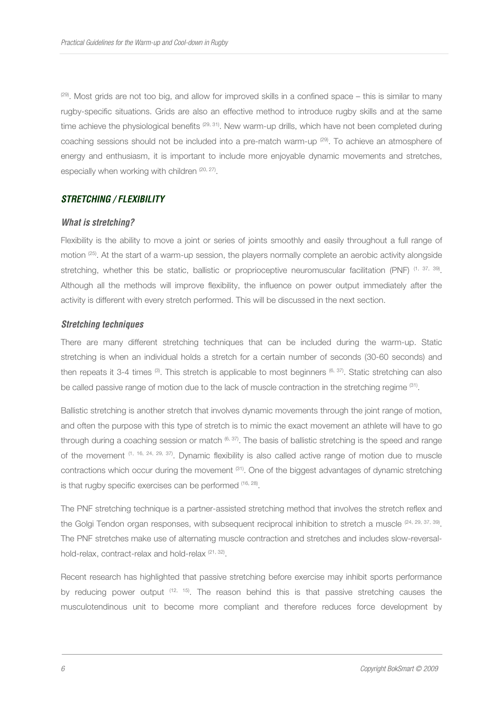$(29)$ . Most grids are not too big, and allow for improved skills in a confined space – this is similar to many rugby-specific situations. Grids are also an effective method to introduce rugby skills and at the same time achieve the physiological benefits <sup>(29, 31)</sup>. New warm-up drills, which have not been completed during coaching sessions should not be included into a pre-match warm-up <sup>(29)</sup>. To achieve an atmosphere of energy and enthusiasm, it is important to include more enjoyable dynamic movements and stretches, especially when working with children (20, 27).

# *STRETCHING / FLEXIBILITY*

#### *What is stretching?*

Flexibility is the ability to move a joint or series of joints smoothly and easily throughout a full range of motion (25). At the start of a warm-up session, the players normally complete an aerobic activity alongside stretching, whether this be static, ballistic or proprioceptive neuromuscular facilitation (PNF) <sup>(1, 37, 39)</sup>. Although all the methods will improve flexibility, the influence on power output immediately after the activity is different with every stretch performed. This will be discussed in the next section.

#### *Stretching techniques*

There are many different stretching techniques that can be included during the warm-up. Static stretching is when an individual holds a stretch for a certain number of seconds (30-60 seconds) and then repeats it 3-4 times (3). This stretch is applicable to most beginners (6, 37). Static stretching can also be called passive range of motion due to the lack of muscle contraction in the stretching regime (31).

Ballistic stretching is another stretch that involves dynamic movements through the joint range of motion, and often the purpose with this type of stretch is to mimic the exact movement an athlete will have to go through during a coaching session or match  $(6, 37)$ . The basis of ballistic stretching is the speed and range of the movement (1, 16, 24, 29, 37). Dynamic flexibility is also called active range of motion due to muscle contractions which occur during the movement (31). One of the biggest advantages of dynamic stretching is that rugby specific exercises can be performed (16, 28).

The PNF stretching technique is a partner-assisted stretching method that involves the stretch reflex and the Golgi Tendon organ responses, with subsequent reciprocal inhibition to stretch a muscle (24, 29, 37, 39). The PNF stretches make use of alternating muscle contraction and stretches and includes slow-reversalhold-relax, contract-relax and hold-relax <sup>(21, 32)</sup>.

Recent research has highlighted that passive stretching before exercise may inhibit sports performance by reducing power output  $(12, 15)$ . The reason behind this is that passive stretching causes the musculotendinous unit to become more compliant and therefore reduces force development by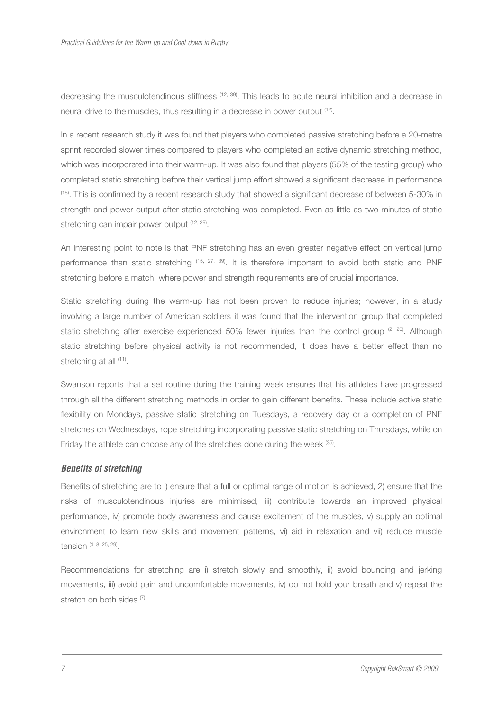decreasing the musculotendinous stiffness (12, 39). This leads to acute neural inhibition and a decrease in neural drive to the muscles, thus resulting in a decrease in power output <sup>(12)</sup>.

In a recent research study it was found that players who completed passive stretching before a 20-metre sprint recorded slower times compared to players who completed an active dynamic stretching method, which was incorporated into their warm-up. It was also found that players (55% of the testing group) who completed static stretching before their vertical jump effort showed a significant decrease in performance (18). This is confirmed by a recent research study that showed a significant decrease of between 5-30% in strength and power output after static stretching was completed. Even as little as two minutes of static stretching can impair power output <sup>(12, 39)</sup>.

An interesting point to note is that PNF stretching has an even greater negative effect on vertical jump performance than static stretching (15, 27, 39). It is therefore important to avoid both static and PNF stretching before a match, where power and strength requirements are of crucial importance.

Static stretching during the warm-up has not been proven to reduce injuries; however, in a study involving a large number of American soldiers it was found that the intervention group that completed static stretching after exercise experienced 50% fewer injuries than the control group  $(2, 20)$ . Although static stretching before physical activity is not recommended, it does have a better effect than no stretching at all (11).

Swanson reports that a set routine during the training week ensures that his athletes have progressed through all the different stretching methods in order to gain different benefits. These include active static flexibility on Mondays, passive static stretching on Tuesdays, a recovery day or a completion of PNF stretches on Wednesdays, rope stretching incorporating passive static stretching on Thursdays, while on Friday the athlete can choose any of the stretches done during the week <sup>(35)</sup>.

## *Benefits of stretching*

Benefits of stretching are to i) ensure that a full or optimal range of motion is achieved, 2) ensure that the risks of musculotendinous injuries are minimised, iii) contribute towards an improved physical performance, iv) promote body awareness and cause excitement of the muscles, v) supply an optimal environment to learn new skills and movement patterns, vi) aid in relaxation and vii) reduce muscle tension (4, 8, 25, 29) .

Recommendations for stretching are i) stretch slowly and smoothly, ii) avoid bouncing and jerking movements, iii) avoid pain and uncomfortable movements, iv) do not hold your breath and v) repeat the stretch on both sides (7).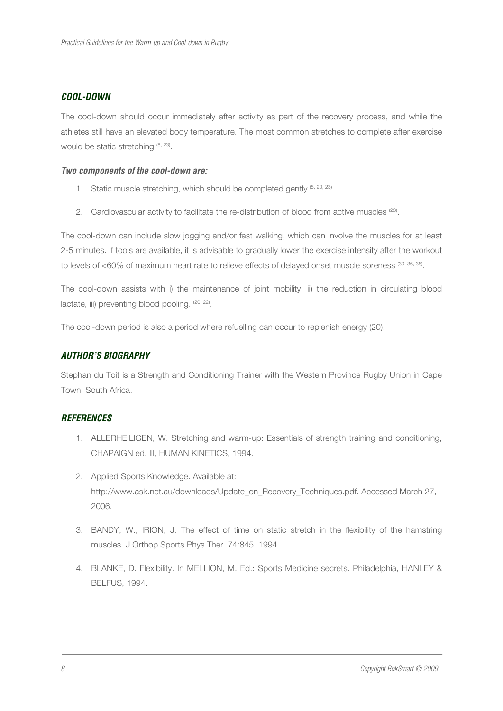# *COOL-DOWN*

The cool-down should occur immediately after activity as part of the recovery process, and while the athletes still have an elevated body temperature. The most common stretches to complete after exercise would be static stretching  $(8, 23)$ .

## *Two components of the cool-down are:*

- 1. Static muscle stretching, which should be completed gently  $(8, 20, 23)$ .
- 2. Cardiovascular activity to facilitate the re-distribution of blood from active muscles  $(23)$ .

The cool-down can include slow jogging and/or fast walking, which can involve the muscles for at least 2-5 minutes. If tools are available, it is advisable to gradually lower the exercise intensity after the workout to levels of <60% of maximum heart rate to relieve effects of delayed onset muscle soreness (30, 36, 38).

The cool-down assists with i) the maintenance of joint mobility, ii) the reduction in circulating blood lactate, iii) preventing blood pooling. <sup>(20, 22)</sup>.

The cool-down period is also a period where refuelling can occur to replenish energy (20).

# *AUTHOR'S BIOGRAPHY*

Stephan du Toit is a Strength and Conditioning Trainer with the Western Province Rugby Union in Cape Town, South Africa.

## *REFERENCES*

- 1. ALLERHEILIGEN, W. Stretching and warm-up: Essentials of strength training and conditioning, CHAPAIGN ed. Ill, HUMAN KINETICS, 1994.
- 2. Applied Sports Knowledge. Available at: http://www.ask.net.au/downloads/Update\_on\_Recovery\_Techniques.pdf. Accessed March 27, 2006.
- 3. BANDY, W., IRION, J. The effect of time on static stretch in the flexibility of the hamstring muscles. J Orthop Sports Phys Ther. 74:845. 1994.
- 4. BLANKE, D. Flexibility. In MELLION, M. Ed.: Sports Medicine secrets. Philadelphia, HANLEY & BELFUS, 1994.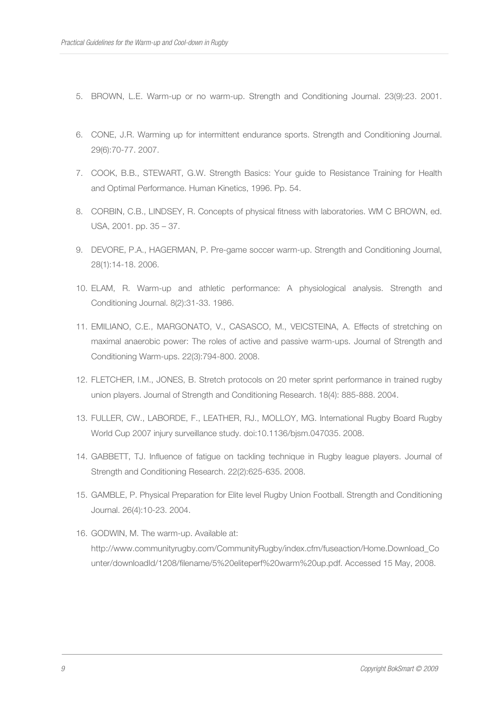- 5. BROWN, L.E. Warm-up or no warm-up. Strength and Conditioning Journal. 23(9):23. 2001.
- 6. CONE, J.R. Warming up for intermittent endurance sports. Strength and Conditioning Journal. 29(6):70-77. 2007.
- 7. COOK, B.B., STEWART, G.W. Strength Basics: Your guide to Resistance Training for Health and Optimal Performance. Human Kinetics, 1996. Pp. 54.
- 8. CORBIN, C.B., LINDSEY, R. Concepts of physical fitness with laboratories. WM C BROWN, ed. USA, 2001. pp. 35 – 37.
- 9. DEVORE, P.A., HAGERMAN, P. Pre-game soccer warm-up. Strength and Conditioning Journal, 28(1):14-18. 2006.
- 10. ELAM, R. Warm-up and athletic performance: A physiological analysis. Strength and Conditioning Journal. 8(2):31-33. 1986.
- 11. EMILIANO, C.E., MARGONATO, V., CASASCO, M., VEICSTEINA, A. Effects of stretching on maximal anaerobic power: The roles of active and passive warm-ups. Journal of Strength and Conditioning Warm-ups. 22(3):794-800. 2008.
- 12. FLETCHER, I.M., JONES, B. Stretch protocols on 20 meter sprint performance in trained rugby union players. Journal of Strength and Conditioning Research. 18(4): 885-888. 2004.
- 13. FULLER, CW., LABORDE, F., LEATHER, RJ., MOLLOY, MG. International Rugby Board Rugby World Cup 2007 injury surveillance study. doi:10.1136/bjsm.047035. 2008.
- 14. GABBETT, TJ. Influence of fatigue on tackling technique in Rugby league players. Journal of Strength and Conditioning Research. 22(2):625-635. 2008.
- 15. GAMBLE, P. Physical Preparation for Elite level Rugby Union Football. Strength and Conditioning Journal. 26(4):10-23. 2004.
- 16. GODWIN, M. The warm-up. Available at: http://www.communityrugby.com/CommunityRugby/index.cfm/fuseaction/Home.Download\_Co unter/downloadId/1208/filename/5%20eliteperf%20warm%20up.pdf. Accessed 15 May, 2008.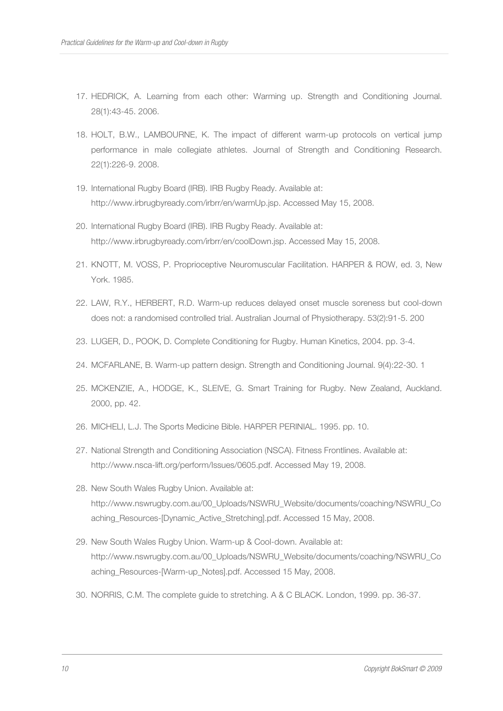- 17. HEDRICK, A. Learning from each other: Warming up. Strength and Conditioning Journal. 28(1):43-45. 2006.
- 18. HOLT, B.W., LAMBOURNE, K. The impact of different warm-up protocols on vertical jump performance in male collegiate athletes. Journal of Strength and Conditioning Research. 22(1):226-9. 2008.
- 19. International Rugby Board (IRB). IRB Rugby Ready. Available at: http://www.irbrugbyready.com/irbrr/en/warmUp.jsp. Accessed May 15, 2008.
- 20. International Rugby Board (IRB). IRB Rugby Ready. Available at: http://www.irbrugbyready.com/irbrr/en/coolDown.jsp. Accessed May 15, 2008.
- 21. KNOTT, M. VOSS, P. Proprioceptive Neuromuscular Facilitation. HARPER & ROW, ed. 3, New York. 1985.
- 22. LAW, R.Y., HERBERT, R.D. Warm-up reduces delayed onset muscle soreness but cool-down does not: a randomised controlled trial. Australian Journal of Physiotherapy. 53(2):91-5. 200
- 23. LUGER, D., POOK, D. Complete Conditioning for Rugby. Human Kinetics, 2004. pp. 3-4.
- 24. MCFARLANE, B. Warm-up pattern design. Strength and Conditioning Journal. 9(4):22-30. 1
- 25. MCKENZIE, A., HODGE, K., SLEIVE, G. Smart Training for Rugby. New Zealand, Auckland. 2000, pp. 42.
- 26. MICHELI, L.J. The Sports Medicine Bible. HARPER PERINIAL. 1995. pp. 10.
- 27. National Strength and Conditioning Association (NSCA). Fitness Frontlines. Available at: http://www.nsca-lift.org/perform/Issues/0605.pdf. Accessed May 19, 2008.
- 28. New South Wales Rugby Union. Available at: http://www.nswrugby.com.au/00\_Uploads/NSWRU\_Website/documents/coaching/NSWRU\_Co aching\_Resources-[Dynamic\_Active\_Stretching].pdf. Accessed 15 May, 2008.
- 29. New South Wales Rugby Union. Warm-up & Cool-down. Available at: http://www.nswrugby.com.au/00\_Uploads/NSWRU\_Website/documents/coaching/NSWRU\_Co aching\_Resources-[Warm-up\_Notes].pdf. Accessed 15 May, 2008.
- 30. NORRIS, C.M. The complete guide to stretching. A & C BLACK. London, 1999. pp. 36-37.